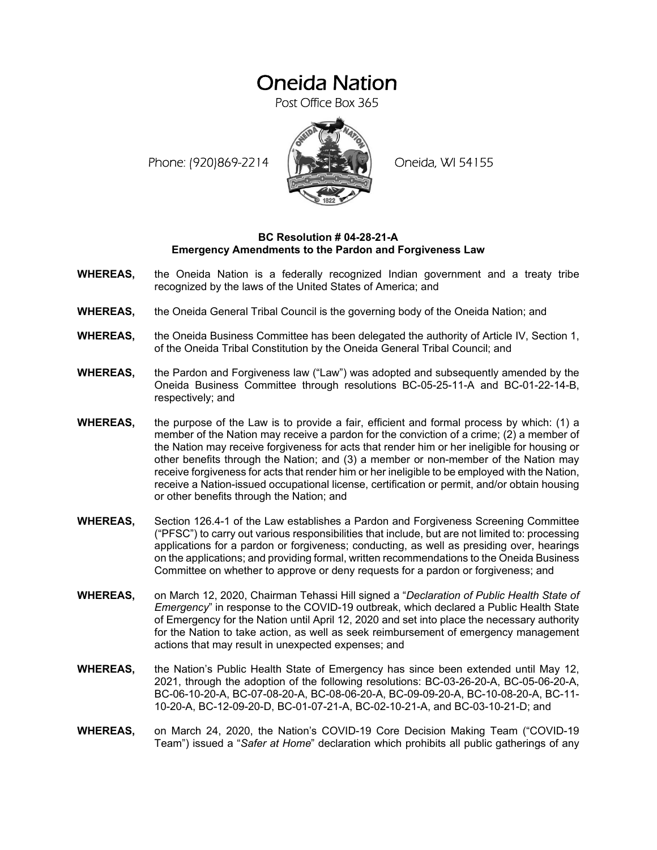## Oneida Nation

Post Office Box 365

Phone: (920)869-2214 (XXXXXXX) Oneida, WI 54155



## **BC Resolution # 04-28-21-A Emergency Amendments to the Pardon and Forgiveness Law**

- **WHEREAS,** the Oneida Nation is a federally recognized Indian government and a treaty tribe recognized by the laws of the United States of America; and
- **WHEREAS,** the Oneida General Tribal Council is the governing body of the Oneida Nation; and
- **WHEREAS,** the Oneida Business Committee has been delegated the authority of Article IV, Section 1, of the Oneida Tribal Constitution by the Oneida General Tribal Council; and
- **WHEREAS,** the Pardon and Forgiveness law ("Law") was adopted and subsequently amended by the Oneida Business Committee through resolutions BC-05-25-11-A and BC-01-22-14-B, respectively; and
- **WHEREAS,** the purpose of the Law is to provide a fair, efficient and formal process by which: (1) a member of the Nation may receive a pardon for the conviction of a crime; (2) a member of the Nation may receive forgiveness for acts that render him or her ineligible for housing or other benefits through the Nation; and (3) a member or non-member of the Nation may receive forgiveness for acts that render him or her ineligible to be employed with the Nation, receive a Nation-issued occupational license, certification or permit, and/or obtain housing or other benefits through the Nation; and
- **WHEREAS,** Section 126.4-1 of the Law establishes a Pardon and Forgiveness Screening Committee ("PFSC") to carry out various responsibilities that include, but are not limited to: processing applications for a pardon or forgiveness; conducting, as well as presiding over, hearings on the applications; and providing formal, written recommendations to the Oneida Business Committee on whether to approve or deny requests for a pardon or forgiveness; and
- **WHEREAS,** on March 12, 2020, Chairman Tehassi Hill signed a "*Declaration of Public Health State of Emergency*" in response to the COVID-19 outbreak, which declared a Public Health State of Emergency for the Nation until April 12, 2020 and set into place the necessary authority for the Nation to take action, as well as seek reimbursement of emergency management actions that may result in unexpected expenses; and
- **WHEREAS,** the Nation's Public Health State of Emergency has since been extended until May 12, 2021, through the adoption of the following resolutions: BC-03-26-20-A, BC-05-06-20-A, BC-06-10-20-A, BC-07-08-20-A, BC-08-06-20-A, BC-09-09-20-A, BC-10-08-20-A, BC-11- 10-20-A, BC-12-09-20-D, BC-01-07-21-A, BC-02-10-21-A, and BC-03-10-21-D; and
- **WHEREAS,** on March 24, 2020, the Nation's COVID-19 Core Decision Making Team ("COVID-19 Team") issued a "*Safer at Home*" declaration which prohibits all public gatherings of any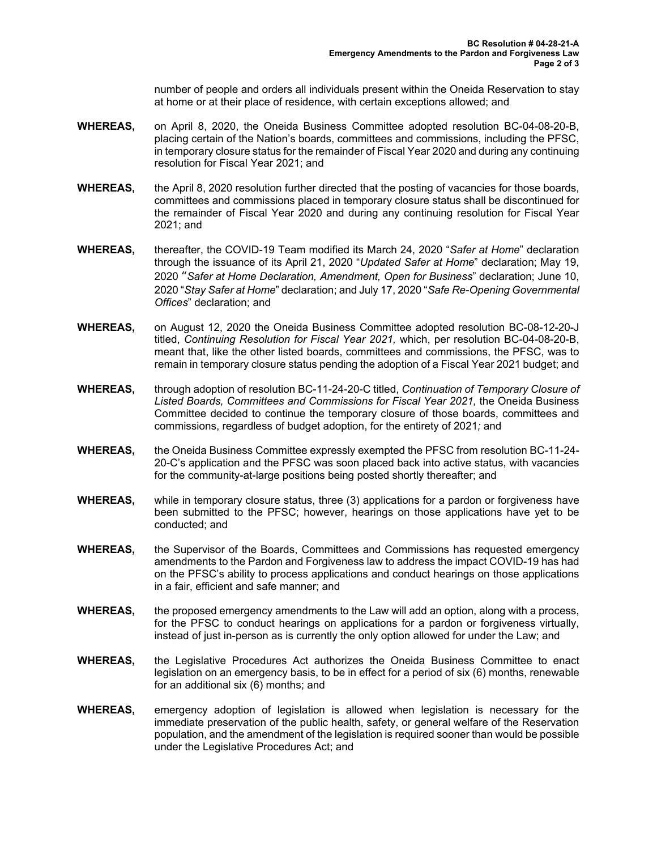number of people and orders all individuals present within the Oneida Reservation to stay at home or at their place of residence, with certain exceptions allowed; and

- **WHEREAS,** on April 8, 2020, the Oneida Business Committee adopted resolution BC-04-08-20-B, placing certain of the Nation's boards, committees and commissions, including the PFSC, in temporary closure status for the remainder of Fiscal Year 2020 and during any continuing resolution for Fiscal Year 2021; and
- **WHEREAS,** the April 8, 2020 resolution further directed that the posting of vacancies for those boards, committees and commissions placed in temporary closure status shall be discontinued for the remainder of Fiscal Year 2020 and during any continuing resolution for Fiscal Year 2021; and
- **WHEREAS,** thereafter, the COVID-19 Team modified its March 24, 2020 "*Safer at Home*" declaration through the issuance of its April 21, 2020 "*Updated Safer at Home*" declaration; May 19, 2020 "*Safer at Home Declaration, Amendment, Open for Business*" declaration; June 10, 2020 "*Stay Safer at Home*" declaration; and July 17, 2020 "*Safe Re-Opening Governmental Offices*" declaration; and
- **WHEREAS,** on August 12, 2020 the Oneida Business Committee adopted resolution BC-08-12-20-J titled, *Continuing Resolution for Fiscal Year 2021,* which, per resolution BC-04-08-20-B, meant that, like the other listed boards, committees and commissions, the PFSC, was to remain in temporary closure status pending the adoption of a Fiscal Year 2021 budget; and
- **WHEREAS,** through adoption of resolution BC-11-24-20-C titled, *Continuation of Temporary Closure of Listed Boards, Committees and Commissions for Fiscal Year 2021,* the Oneida Business Committee decided to continue the temporary closure of those boards, committees and commissions, regardless of budget adoption, for the entirety of 2021*;* and
- **WHEREAS,** the Oneida Business Committee expressly exempted the PFSC from resolution BC-11-24- 20-C's application and the PFSC was soon placed back into active status, with vacancies for the community-at-large positions being posted shortly thereafter; and
- **WHEREAS,** while in temporary closure status, three (3) applications for a pardon or forgiveness have been submitted to the PFSC; however, hearings on those applications have yet to be conducted; and
- **WHEREAS,** the Supervisor of the Boards, Committees and Commissions has requested emergency amendments to the Pardon and Forgiveness law to address the impact COVID-19 has had on the PFSC's ability to process applications and conduct hearings on those applications in a fair, efficient and safe manner; and
- **WHEREAS,** the proposed emergency amendments to the Law will add an option, along with a process, for the PFSC to conduct hearings on applications for a pardon or forgiveness virtually, instead of just in-person as is currently the only option allowed for under the Law; and
- **WHEREAS,** the Legislative Procedures Act authorizes the Oneida Business Committee to enact legislation on an emergency basis, to be in effect for a period of six (6) months, renewable for an additional six (6) months; and
- **WHEREAS,** emergency adoption of legislation is allowed when legislation is necessary for the immediate preservation of the public health, safety, or general welfare of the Reservation population, and the amendment of the legislation is required sooner than would be possible under the Legislative Procedures Act; and